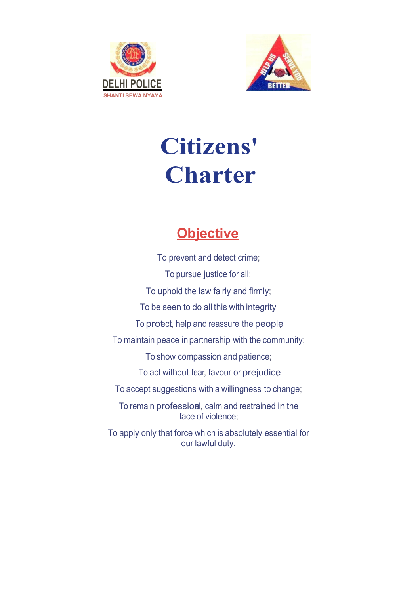



# **Citizens' Charter**

# **Objective**

To prevent and detect crime; To pursue justice for all; To uphold the law fairly and firmly; To be seen to do all this with integrity To protect, help and reassure the people To maintain peace in partnership with the community; To show compassion and patience; To act without fear, favour or prejudice; To accept suggestions with a willingness to change; To remain profession, calm and restrained in the face of violence; To apply only that force which is absolutely essential for our lawful duty.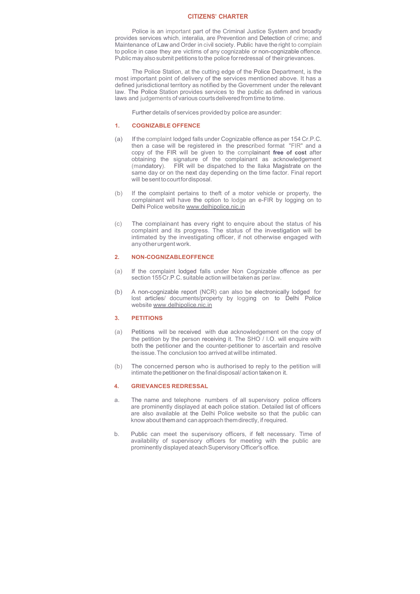### **CITIZENS' CHARTER**

Police is an important part of the Criminal Justice System and broadly provides services which, interalia, are Prevention and Detection of crime; and Maintenance of Law and Order in civil society. Public have the right to complain to police in case they are victims of any cognizable or non-cognizable offence. Public may also submit petitions to the police for redressal of their grievances.

The Police Station, at the cutting edge of the Police Department, is the most important point of delivery of the services mentioned above. It has a defined jurisdictional territory as notified by the Government under the relevant law. The Police Station provides services to the public as defined in various laws and judgements of various courts delivered from time to time.

Further details of services provided by police are asunder:

# **1. COGNIZABLE OFFENCE**

- (a) If the complaint lodged falls under Cognizable offence as per 154 Cr.P.C. then a case will be registered in the prescribed format "FIR" and a copy of the FIR will be given to the complainant **free of cost** after obtaining the signature of the complainant as acknowledgement (mandatory). FIR will be dispatched to the llaka Magistrate on the same day or on the next day depending on the time factor. Final report will be sent to court for disposal.
- (b) If the complaint pertains to theft of a motor vehicle or property, the complainant will have the option to lodge an e-FIR by logging on to Delhi Police website www.delhipolice.nic.in
- (c) The complainant has every right to enquire about the status of his complaint and its progress. The status of the investigation will be intimated by the investigating officer, if not otherwise engaged with any other urgent work.

#### **2. NON-COGNIZABLEOFFENCE**

- (a) If the complaint lodged falls under Non Cognizable offence as per section 155 Cr.P.C. suitable action will be taken as per law.
- (b) A non-cognizable report (NCR) can also be electronically lodged for lost articles/ documents/property by logging on to Delhi Police website www.delhipolice.nic.in

# **3. PETITIONS**

- (a) Petitions will be received with due acknowledgement on the copy of the petition by the person receiving it. The SHO / I.O. will enquire with both the petitioner and the counter-petitioner to ascertain and resolve the issue. The conclusion too arrived at will be intimated.
- (b) The concerned person who is authorised to reply to the petition will intimate the petitioner on the final disposal/ action taken on it.

## **4. GRIEVANCES REDRESSAL**

- a. The name and telephone numbers of all supervisory police officers are prominently displayed at each police station. Detailed list of officers are also available at the Delhi Police website so that the public can know about them and can approach them directly, if required.
- b. Public can meet the supervisory officers, if felt necessary. Time of availability of supervisory officers for meeting with the public are prominently displayed at each Supervisory Officer's office.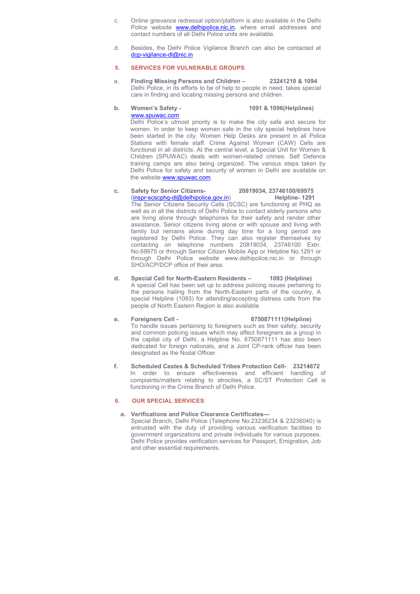- c. Online grievance redressal option/platform is also available in the Delhi Police website **www.delhipolice.nic.in**, where email addresses and contact numbers of all Delhi Police units are available.
- d. Besides, the Delhi Police Vigilance Branch can also be contacted at dcp-vigilance-dl@nic.in

# **5. SERVICES FOR VULNERABLE GROUPS**

a. **Finding Missing Persons and Children – 23241210 & 1094** Delhi Police, in its efforts to be of help to people in need, takes special care in finding and locating missing persons and children.

# **b. Women's Safety - 1091 & 1096(Helplines)**  www.spuwac.com Delhi Police's utmost priority is to make the city safe and secure for women. In order to keep women safe in the city special helplines have

been started in the city. Women Help Desks are present in all Police Stations with female staff. Crime Against Women (CAW) Cells are functional in all districts. At the central level, a Special Unit for Women & Children (SPUWAC) deals with women-related crimes. Self Defence training camps are also being organized. The various steps taken by Delhi Police for safety and security of women in Delhi are available on the website **www.spuwac.com.** 

- **c. Safety for Senior Citizens- 20819034, 23746100/69975**  (inspr-scscphq-dl@delhipolice.gov.in) The Senior Citizens Security Cells (SCSC) are functioning at PHQ as well as in all the districts of Delhi Police to contact elderly persons who are living alone through telephones for their safety and render other assistance. Senior citizens living alone or with spouse and living with family but remains alone during day time for a long period are registered by Delhi Police. They can also register themselves by contacting on telephone numbers 20819034, 23746100 Extn. No.69975 or through Senior Citizen Mobile App or Helpline No.1291 or through Delhi Police website www.delhipolice.nic.in or through SHO/ACP/DCP office of their area.
- **d. Special Cell for North-Eastern Residents 1093 (Helpline)**  A special Cell has been set up to address policing issues pertaining to the persons hailing from the North-Eastern parts of the country, A special Helpline (1093) for attending/accepting distress calls from the people of North Eastern Region is also available.

## **e. Foreigners Cell - 8750871111(Helpline)**  To handle issues pertaining to foreigners such as their safety, security and common policing issues which may affect foreigners as a group in the capital city of Delhi, a Helpline No. 8750871111 has also been dedicated for foreign nationals, and a Joint CP-rank officer has been designated as the Nodal Officer.

**f. Scheduled Castes & Scheduled Tribes Protection Cell- 23214672**  In order to ensure effectiveness and efficient handling of complaints/matters relating to atrocities, a SC/ST Protection Cell is functioning in the Crime Branch of Delhi Police.

# **6. OUR SPECIAL SERVICES**:

# **a. Verifications and Police Clearance Certificates—**

Special Branch, Delhi Police (Telephone No.23236234 & 23236040) is entrusted with the duty of providing various verification facilities to government organizations and private individuals for various purposes. Delhi Police provides verification services for Passport, Emigration, Job and other essential requirements.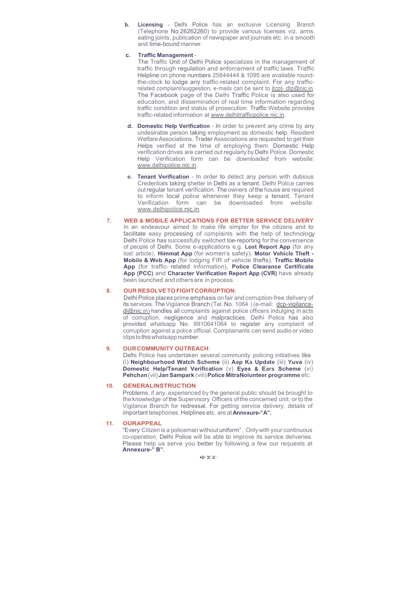**b. Licensing** - Delhi Police has an exclusive Licensing Branch (Telephone No.26262260) to provide various licenses viz. arms. eating joints, publication of newspaper and journals etc. in a smooth and time-bound manner.

#### **c. Traffic Management** -

The Traffic Unit of Delhi Police specializes in the management of traffic through regulation and enforcement of traffic laws. Traffic Helpline on phone numbers 25844444 & 1095 are available roundthe-clock to lodge any traffic-related complaint. For any trafficrelated complaint/suggestion, e-mails can be sent to itcpt- dtp@nic.in. The Facebook page of the Delhi Traffic Police is also used for education, and dissemination of real time information regarding traffic condition and status of prosecution. Traffic Website provides traffic-related information at www.delhitrafficpolice.nic.in.

- **d. Domestic Help Verification**  In order to prevent any crime by any undesirable person taking employment as domestic help, Resident Welfare Associations, Trader Associations are requested to get their Helps verified at the time of employing them. Domestic Help verification drives are carried out regularly by Delhi Police. Domestic Help Verification form can be downloaded from website: www.delhipolice.nic.in.
- **e. Tenant Verification**  In order to detect any person with dubious Credentials taking shelter in Delhi as a tenant, Delhi Police carries out regular tenant verification. The owners of the house are required to inform local police whenever they keep a tenant. Tenant Verification form can be downloaded from website: www.delhipolice.nic.in.
- **7. WEB & MOBILE APPLICATIONS FOR BETTER SERVICE DELIVERY**  In an endeavour aimed to make life simpler for the citizens and to facilitate easy processing of complaints with the help of technology, Delhi Police has successfully switched toe-reporting for the convenience of people of Delhi. Some e-applications e.g. **Lost Report App** (for any lost article), **Himmat App** (for women's safety), **Motor Vehicle Theft - Mobile & Web App** (for lodging FIR of vehicle thefts), **Traffic Mobile App** (for traffic- related information), **Police Clearance Certificate App (PCC)** and **Character Verification Report App (CVR)** have already been launched and others are in process.

## **8. OUR RESOLVE TO FIGHT CORRUPTION:**

Delhi Police places prime emphasis on fair and corruption-free delivery of its services. The Vigilance Branch (Tel. No. 1064) (e-mail: dcp-vigilancedl@nic.in) handles all complaints against police officers indulging in acts of corruption, negligence and malpractices. Delhi Police has also provided whatsapp No. 9910641064 to register any complaint of corruption against a police official. Complainants can send audio or video clips to this whatsapp number.

# **9. OUR COMMUNITY OUTREACH:**

Delhi Police has undertaken several community policing initiatives like (i) **Neighbourhood Watch Scheme** (ii) **Aap Ka Update** (iii) **Yuva** (iv) **Domestic Help/Tenant Verification** (v) **Eyes & Ears Scheme** (vi) **Pehchan** (vii) **Jan Sampark** (viii) **Police MitraNolunteer programme** etc.

#### **10. GENERALINSTRUCTION**

Problems, if any, experienced by the general public should be brought to the knowledge of the Supervisory Officers of the concerned unit, or to the Vigilance Branch for redressal. For getting service delivery, details of important telephones, Helplines etc. are at **Annexure-"A".**

# **11. OURAPPEAL**

"Every Citizen is a policeman without uniform". Only with your continuous co-operation, Delhi Police will be able to improve its service deliveries. Please help us serve you better by following a few our requests at **Annexure-" B".**

**•X·X·X·**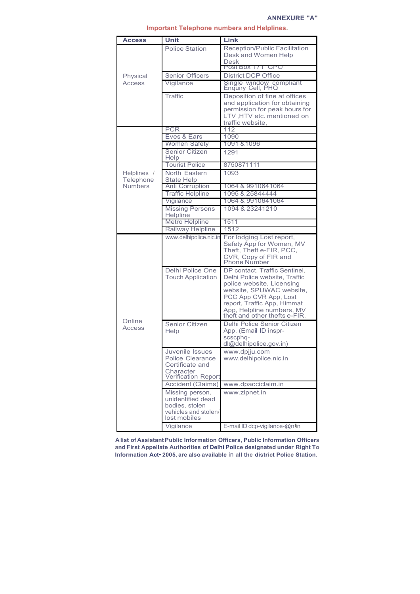| <b>Access</b>                              | Unit                                    | Link                                                           |
|--------------------------------------------|-----------------------------------------|----------------------------------------------------------------|
|                                            | <b>Police Station</b>                   | Reception/Public Facilitation                                  |
|                                            |                                         | Desk and Women Help                                            |
| Physical<br>Access                         |                                         | <b>Desk</b>                                                    |
|                                            |                                         | POST BOX 171 GPU                                               |
|                                            | <b>Senior Officers</b>                  | <b>District DCP Office</b><br>Single window compliant          |
|                                            | Vigilance                               | Enquiry Cell, PHQ                                              |
|                                            | Traffic                                 | Deposition of fine at offices                                  |
|                                            |                                         | and application for obtaining<br>permission for peak hours for |
|                                            |                                         | LTV, HTV etc. mentioned on                                     |
|                                            |                                         | traffic website,                                               |
| Helplines /<br>Telephone<br><b>Numbers</b> | PCR                                     | 112                                                            |
|                                            | Eves & Ears                             | 1090                                                           |
|                                            | Women Safety                            | 1091 & 1096                                                    |
|                                            | <b>Senior Citizen</b><br>Help           | 1291                                                           |
|                                            | <b>Tourist Police</b>                   | 8750871111                                                     |
|                                            | North Fastern                           | 1093                                                           |
|                                            | <b>State Help</b>                       |                                                                |
|                                            | Anti Corruption                         | 1064 & 9910641064                                              |
|                                            | <b>Traffic Helpline</b>                 | 1095 & 25844444                                                |
|                                            | Vigilance                               | 1064 & 9910641064                                              |
|                                            | <b>Missing Persons</b><br>Helpline      | 1094 & 23241210                                                |
|                                            | Metro Helpline                          | 1511                                                           |
|                                            | Railway Helpline                        | 1512                                                           |
| Online<br>Access                           | www.delhipolice.nic.in                  | For lodging Lost report,                                       |
|                                            |                                         | Safety App for Women, MV                                       |
|                                            |                                         | Theft, Theft e-FIR, PCC,                                       |
|                                            |                                         | CVR, Copy of FIR and<br>Phone Number                           |
|                                            | Delhi Police One                        | DP contact, Traffic Sentinel,                                  |
|                                            | <b>Touch Application</b>                | Delhi Police website, Traffic                                  |
|                                            |                                         | police website, Licensing                                      |
|                                            |                                         | website, SPUWAC website,<br>PCC App CVR App, Lost              |
|                                            |                                         | report, Traffic App, Himmat                                    |
|                                            |                                         | App, Helpline numbers, MV                                      |
|                                            |                                         | theft and other thefts e-FIR.                                  |
|                                            | Senior Citizen                          | Delhi Police Senior Citizen                                    |
|                                            | Help                                    | App, (Email ID inspr-                                          |
|                                            |                                         | scscphq-<br>dl@delhipolice.gov.in)                             |
|                                            | Juvenile Issues                         | www.dpjju.com                                                  |
|                                            | <b>Police Clearance</b>                 | www.delhipolice.nic.in                                         |
|                                            | Certificate and                         |                                                                |
|                                            | Character<br><b>Verification Report</b> |                                                                |
|                                            | Accident (Claims)                       | www.dpacciclaim.in                                             |
|                                            | Missing person,                         | www.zipnet.in                                                  |
|                                            | unidentified dead                       |                                                                |
|                                            | bodies, stolen                          |                                                                |
|                                            | vehicles and stolen/<br>lost mobiles    |                                                                |
|                                            | Vigilance                               | E-mail ID dcp-vigilance-@nlin                                  |

# **Important Telephone numbers and Helplines.**

**A list of Assistant Public Information Officers, Public Information Officers and First Appellate Authorities of Delhi Police designated under Right To Information Act• 2005, are also available** in **all the district Police Station.**